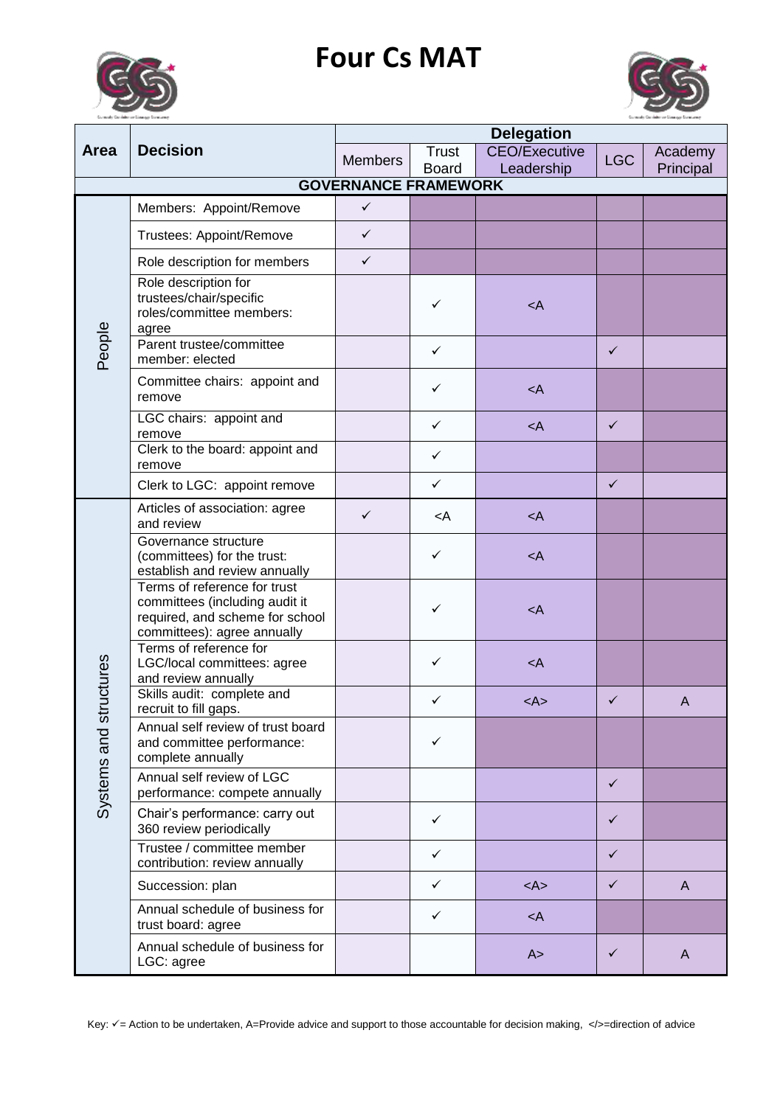## **Four Cs MAT**





|               | <b>Decision</b>                                                                                                                  | <b>Delegation</b>           |                                                               |                         |              |              |
|---------------|----------------------------------------------------------------------------------------------------------------------------------|-----------------------------|---------------------------------------------------------------|-------------------------|--------------|--------------|
| <b>Area</b>   |                                                                                                                                  | <b>Members</b>              | <b>Trust</b>                                                  | <b>CEO/Executive</b>    | <b>LGC</b>   | Academy      |
|               |                                                                                                                                  | <b>GOVERNANCE FRAMEWORK</b> | <b>Board</b>                                                  | Leadership              |              | Principal    |
|               |                                                                                                                                  |                             |                                                               |                         |              |              |
|               | Members: Appoint/Remove                                                                                                          | $\checkmark$                |                                                               |                         |              |              |
|               | Trustees: Appoint/Remove                                                                                                         | $\checkmark$                |                                                               |                         |              |              |
|               | Role description for members                                                                                                     | $\checkmark$                |                                                               |                         |              |              |
|               | Role description for<br>trustees/chair/specific<br>roles/committee members:<br>agree                                             |                             | ✓                                                             | $\prec$ A               |              |              |
| People        | Parent trustee/committee<br>member: elected                                                                                      |                             | $\checkmark$                                                  |                         | $\checkmark$ |              |
|               | Committee chairs: appoint and<br>remove                                                                                          |                             | ✓                                                             | $\prec$ A               |              |              |
|               | LGC chairs: appoint and<br>remove                                                                                                |                             | ✓                                                             | $\leq$ A                | $\checkmark$ |              |
|               | Clerk to the board: appoint and<br>remove                                                                                        |                             | $\checkmark$                                                  |                         |              |              |
|               | Clerk to LGC: appoint remove                                                                                                     |                             | $\checkmark$                                                  |                         | $\checkmark$ |              |
|               | Articles of association: agree<br>and review                                                                                     | $\checkmark$                | <a< td=""><td><math>\prec</math>A</td><td></td><td></td></a<> | $\prec$ A               |              |              |
|               | Governance structure<br>(committees) for the trust:<br>establish and review annually                                             |                             | ✓                                                             | $\prec$ A               |              |              |
|               | Terms of reference for trust<br>committees (including audit it<br>required, and scheme for school<br>committees): agree annually |                             | ✓                                                             | $\lt$ A                 |              |              |
| tructures     | Terms of reference for<br>LGC/local committees: agree<br>and review annually                                                     |                             | ✓                                                             | $\prec$ A               |              |              |
|               | Skills audit: complete and<br>recruit to fill gaps.                                                                              |                             | ✓                                                             | $<\mathsf{A}\mathsf{>}$ | $\checkmark$ | $\mathsf{A}$ |
| Systems and s | Annual self review of trust board<br>and committee performance:<br>complete annually                                             |                             | ✓                                                             |                         |              |              |
|               | Annual self review of LGC<br>performance: compete annually                                                                       |                             |                                                               |                         | $\checkmark$ |              |
|               | Chair's performance: carry out<br>360 review periodically                                                                        |                             | $\checkmark$                                                  |                         | $\checkmark$ |              |
|               | Trustee / committee member<br>contribution: review annually                                                                      |                             | ✓                                                             |                         | $\checkmark$ |              |
|               | Succession: plan                                                                                                                 |                             | ✓                                                             | $<\mathsf{A}\mathsf{>}$ | $\checkmark$ | $\mathsf{A}$ |
|               | Annual schedule of business for<br>trust board: agree                                                                            |                             | ✓                                                             | $<$ A                   |              |              |
|               | Annual schedule of business for<br>LGC: agree                                                                                    |                             |                                                               | A >                     | $\checkmark$ | $\mathsf{A}$ |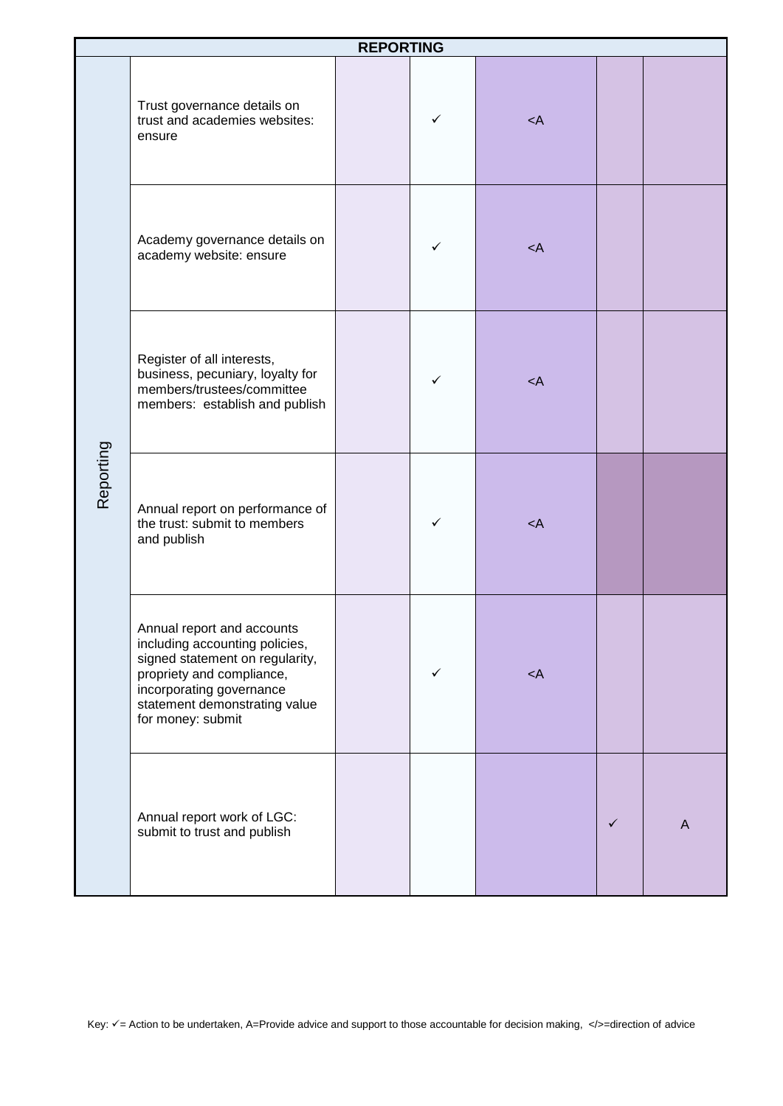| <b>REPORTING</b> |                                                                                                                                                                                                                |  |   |           |              |   |
|------------------|----------------------------------------------------------------------------------------------------------------------------------------------------------------------------------------------------------------|--|---|-----------|--------------|---|
| Reporting        | Trust governance details on<br>trust and academies websites:<br>ensure                                                                                                                                         |  | ✓ | $\prec$ A |              |   |
|                  | Academy governance details on<br>academy website: ensure                                                                                                                                                       |  | ✓ | $\lt$ A   |              |   |
|                  | Register of all interests,<br>business, pecuniary, loyalty for<br>members/trustees/committee<br>members: establish and publish                                                                                 |  | ✓ | $\lt$ A   |              |   |
|                  | Annual report on performance of<br>the trust: submit to members<br>and publish                                                                                                                                 |  | ✓ | $<$ A     |              |   |
|                  | Annual report and accounts<br>including accounting policies,<br>signed statement on regularity,<br>propriety and compliance,<br>incorporating governance<br>statement demonstrating value<br>for money: submit |  |   | $<$ A     |              |   |
|                  | Annual report work of LGC:<br>submit to trust and publish                                                                                                                                                      |  |   |           | $\checkmark$ | A |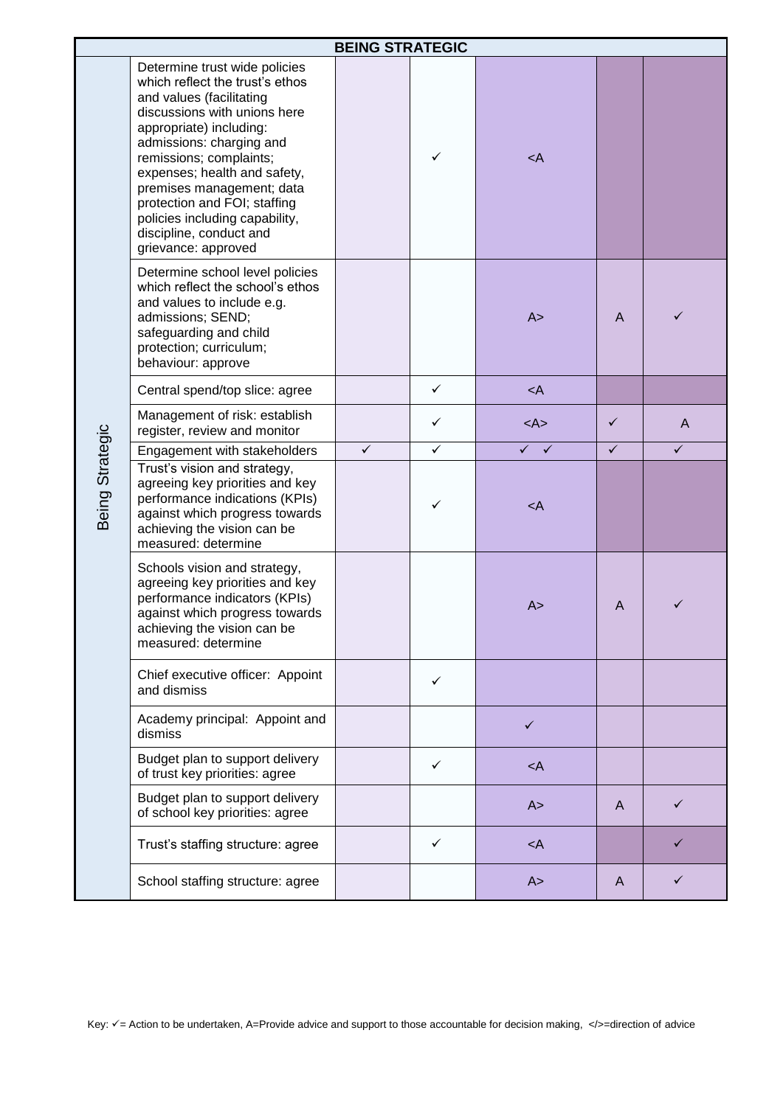| <b>BEING STRATEGIC</b> |                                                                                                                                                                                                                                                                                                                                                                                                 |              |              |                                   |              |              |  |
|------------------------|-------------------------------------------------------------------------------------------------------------------------------------------------------------------------------------------------------------------------------------------------------------------------------------------------------------------------------------------------------------------------------------------------|--------------|--------------|-----------------------------------|--------------|--------------|--|
|                        | Determine trust wide policies<br>which reflect the trust's ethos<br>and values (facilitating<br>discussions with unions here<br>appropriate) including:<br>admissions: charging and<br>remissions; complaints;<br>expenses; health and safety,<br>premises management; data<br>protection and FOI; staffing<br>policies including capability,<br>discipline, conduct and<br>grievance: approved |              | ✓            | <a< td=""><td></td><td></td></a<> |              |              |  |
|                        | Determine school level policies<br>which reflect the school's ethos<br>and values to include e.g.<br>admissions; SEND;<br>safeguarding and child<br>protection; curriculum;<br>behaviour: approve                                                                                                                                                                                               |              |              | A >                               | A            | ✓            |  |
|                        | Central spend/top slice: agree                                                                                                                                                                                                                                                                                                                                                                  |              | $\checkmark$ | $\prec$ A                         |              |              |  |
|                        | Management of risk: establish<br>register, review and monitor                                                                                                                                                                                                                                                                                                                                   |              | ✓            | $<\mathsf{A}\mathsf{>}$           | ✓            | $\mathsf{A}$ |  |
|                        | Engagement with stakeholders                                                                                                                                                                                                                                                                                                                                                                    | $\checkmark$ | ✓            | $\checkmark$<br>$\checkmark$      | $\checkmark$ | $\checkmark$ |  |
| Being Strategic        | Trust's vision and strategy,<br>agreeing key priorities and key<br>performance indications (KPIs)<br>against which progress towards<br>achieving the vision can be<br>measured: determine                                                                                                                                                                                                       |              | ✓            | $\prec$ A                         |              |              |  |
|                        | Schools vision and strategy,<br>agreeing key priorities and key<br>performance indicators (KPIs)<br>against which progress towards<br>achieving the vision can be<br>measured: determine                                                                                                                                                                                                        |              |              | A >                               | A            |              |  |
|                        | Chief executive officer: Appoint<br>and dismiss                                                                                                                                                                                                                                                                                                                                                 |              | ✓            |                                   |              |              |  |
|                        | Academy principal: Appoint and<br>dismiss                                                                                                                                                                                                                                                                                                                                                       |              |              | $\checkmark$                      |              |              |  |
|                        | Budget plan to support delivery<br>of trust key priorities: agree                                                                                                                                                                                                                                                                                                                               |              | ✓            | $\prec$ A                         |              |              |  |
|                        | Budget plan to support delivery<br>of school key priorities: agree                                                                                                                                                                                                                                                                                                                              |              |              | A >                               | A            | ✓            |  |
|                        | Trust's staffing structure: agree                                                                                                                                                                                                                                                                                                                                                               |              | ✓            | $\prec$ A                         |              |              |  |
|                        | School staffing structure: agree                                                                                                                                                                                                                                                                                                                                                                |              |              | A >                               | A            |              |  |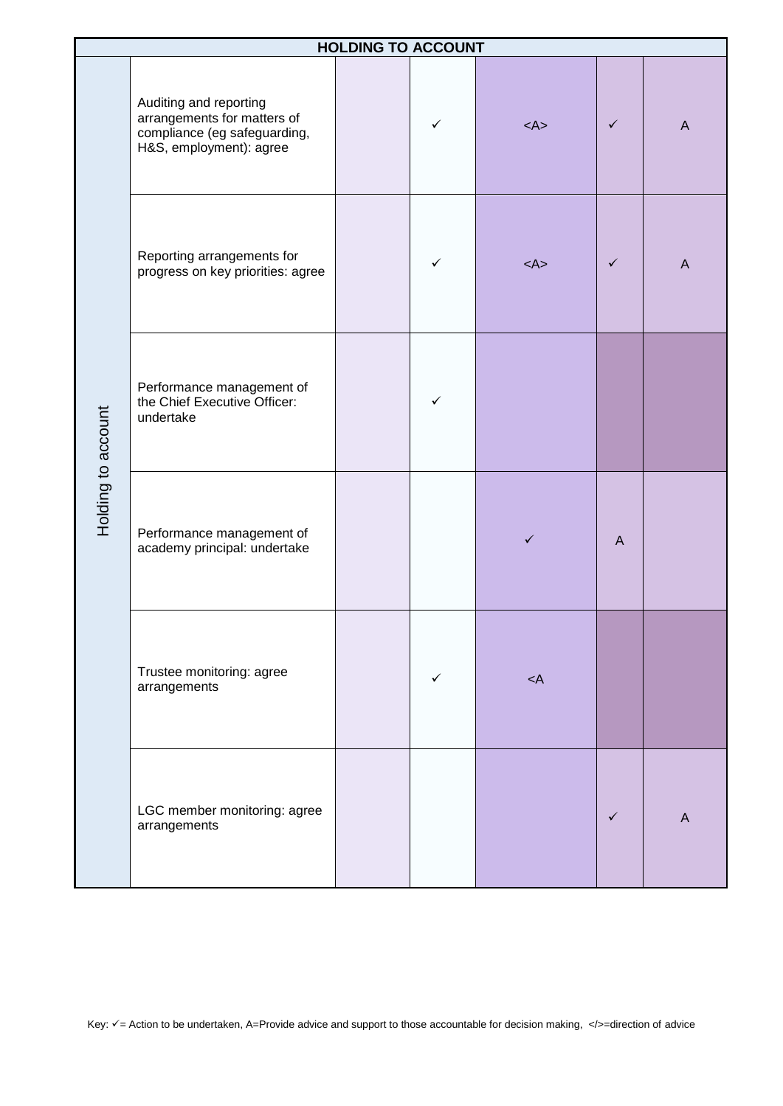| <b>HOLDING TO ACCOUNT</b> |                                                                                                                  |  |              |           |              |              |
|---------------------------|------------------------------------------------------------------------------------------------------------------|--|--------------|-----------|--------------|--------------|
| Holding to account        | Auditing and reporting<br>arrangements for matters of<br>compliance (eg safeguarding,<br>H&S, employment): agree |  | ✓            | $<$ A>    | $\checkmark$ | $\mathsf{A}$ |
|                           | Reporting arrangements for<br>progress on key priorities: agree                                                  |  | $\checkmark$ | $<$ A>    | ✓            | $\mathsf{A}$ |
|                           | Performance management of<br>the Chief Executive Officer:<br>undertake                                           |  | ✓            |           |              |              |
|                           | Performance management of<br>academy principal: undertake                                                        |  |              | ✓         | $\mathsf{A}$ |              |
|                           | Trustee monitoring: agree<br>arrangements                                                                        |  | $\checkmark$ | $\prec$ A |              |              |
|                           | LGC member monitoring: agree<br>arrangements                                                                     |  |              |           | $\checkmark$ | A            |